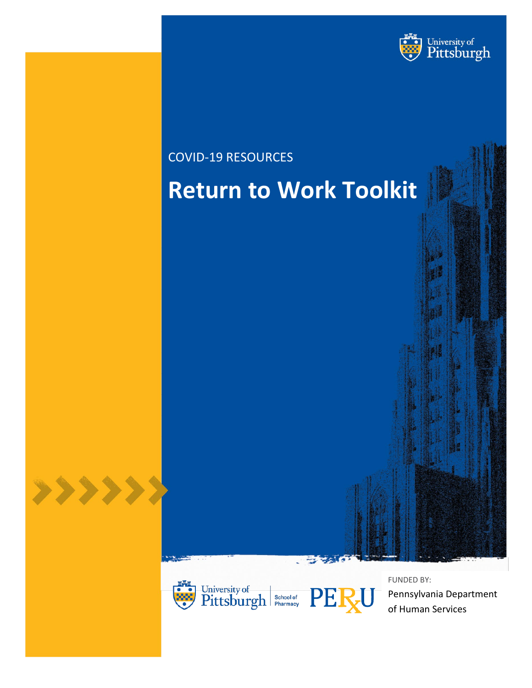

# COVID-19 RESOURCES **Return to Work Toolkit**





FUNDED BY: Pennsylvania Department of Human Services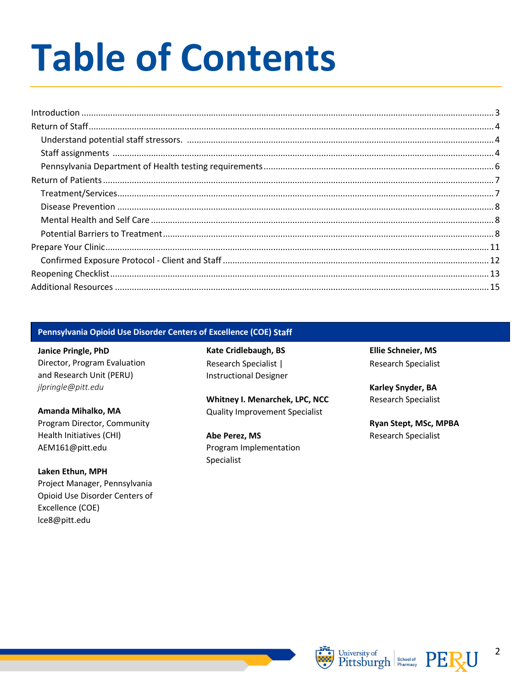# **Table of Contents**

| $\label{lem:1} \mbox{Introduction} \,\, \ldots \,\, \ldots \,\, \ldots \,\, \ldots \,\, \ldots \,\, \ldots \,\, \ldots \,\, \ldots \,\, \ldots \,\, \ldots \,\, \ldots \,\, \ldots \,\, \ldots \,\, \ldots \,\, \ldots \,\, \ldots \,\, \ldots \,\, \ldots \,\, \ldots \,\, \ldots \,\, \ldots \,\, \ldots \,\, \ldots \,\, \ldots \,\, \ldots \,\, \ldots \,\, \ldots \,\, \ldots \,\, \ldots \,\, \ldots \,\, \ldots \,\, \ldots \,\, \ldots \,\, \ldots \,\,$ |  |
|------------------------------------------------------------------------------------------------------------------------------------------------------------------------------------------------------------------------------------------------------------------------------------------------------------------------------------------------------------------------------------------------------------------------------------------------------------------|--|
|                                                                                                                                                                                                                                                                                                                                                                                                                                                                  |  |
|                                                                                                                                                                                                                                                                                                                                                                                                                                                                  |  |
|                                                                                                                                                                                                                                                                                                                                                                                                                                                                  |  |
|                                                                                                                                                                                                                                                                                                                                                                                                                                                                  |  |
|                                                                                                                                                                                                                                                                                                                                                                                                                                                                  |  |
|                                                                                                                                                                                                                                                                                                                                                                                                                                                                  |  |
|                                                                                                                                                                                                                                                                                                                                                                                                                                                                  |  |
|                                                                                                                                                                                                                                                                                                                                                                                                                                                                  |  |
|                                                                                                                                                                                                                                                                                                                                                                                                                                                                  |  |
|                                                                                                                                                                                                                                                                                                                                                                                                                                                                  |  |
|                                                                                                                                                                                                                                                                                                                                                                                                                                                                  |  |
|                                                                                                                                                                                                                                                                                                                                                                                                                                                                  |  |
|                                                                                                                                                                                                                                                                                                                                                                                                                                                                  |  |

# Pennsylvania Opioid Use Disorder Centers of Excellence (COE) Staff

Janice Pringle, PhD Director, Program Evaluation and Research Unit (PERU) jlpringle@pitt.edu

Amanda Mihalko, MA Program Director, Community Health Initiatives (CHI) AEM161@pitt.edu

Laken Ethun, MPH Project Manager, Pennsylvania Opioid Use Disorder Centers of Excellence (COE) lce8@pitt.edu

Kate Cridlebaugh, BS Research Specialist | **Instructional Designer** 

Whitney I. Menarchek, LPC, NCC **Quality Improvement Specialist** 

Abe Perez, MS Program Implementation Specialist

**Ellie Schneier, MS Research Specialist** 

Karley Snyder, BA Research Specialist

Ryan Stept, MSc, MPBA **Research Specialist** 





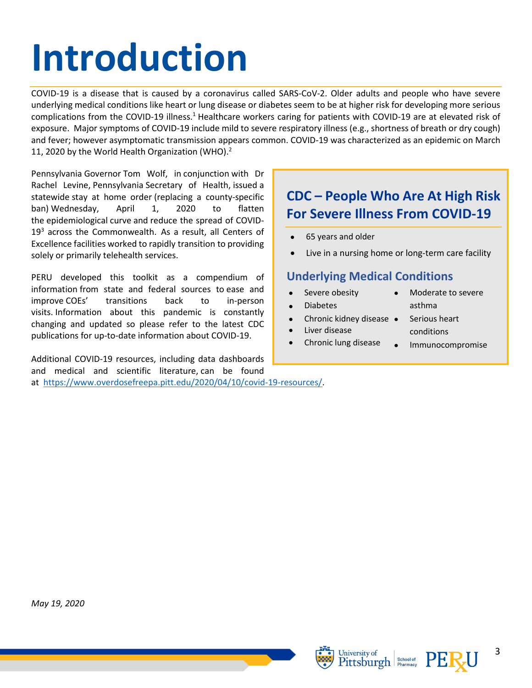# <span id="page-2-0"></span>**Introduction**

COVID-19 is a disease that is caused by a coronavirus called SARS-CoV-2. Older adults and people who have severe underlying medical conditions like heart or lung disease or diabetes seem to be at higher risk for developing more serious complications from the COVID-19 illness.<sup>1</sup> Healthcare workers caring for patients with COVID-19 are at elevated risk of exposure. Major symptoms of COVID-19 include mild to severe respiratory illness (e.g., shortness of breath or dry cough) and fever; however asymptomatic transmission appears common. COVID-19 was characterized as an epidemic on March 11, 2020 by the World Health Organization (WHO). $<sup>2</sup>$ </sup>

Pennsylvania Governor Tom Wolf, in conjunction with Dr Rachel Levine, Pennsylvania Secretary of Health, issued a statewide stay at home order (replacing a county-specific ban) Wednesday, April 1, 2020 to flatten the epidemiological curve and reduce the spread of COVID- $19<sup>3</sup>$  across the Commonwealth. As a result, all Centers of Excellence facilities worked to rapidly transition to providing solely or primarily telehealth services.

PERU developed this toolkit as a compendium of information from state and federal sources to ease and improve COEs' transitions back to in-person visits. Information about this pandemic is constantly changing and updated so please refer to the latest CDC publications for up-to-date information about COVID-19.

Additional COVID-19 resources, including data dashboards and medical and scientific literature, can be found at [https://www.overdosefreepa.pitt.edu/2020/04/10/covid-19-resources/.](https://www.overdosefreepa.pitt.edu/2020/04/10/covid-19-resources/)

# **CDC – People Who Are At High Risk For Severe Illness From COVID-19**

- 65 years and older
- Live in a nursing home or long-term care facility

# **Underlying Medical Conditions**

- Severe obesity
- Diabetes
- Chronic kidney disease
- Liver disease
- Chronic lung disease
- Moderate to severe asthma
- Serious heart conditions
- Immunocompromise

*May 19, 2020*





3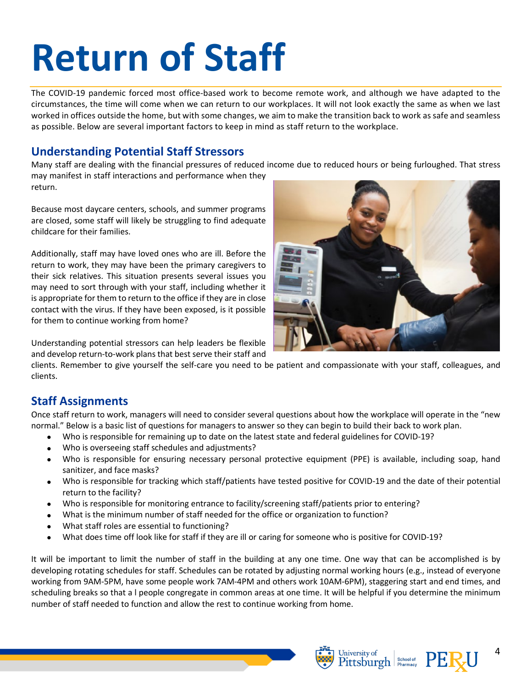# <span id="page-3-0"></span>**Return of Staff**

The COVID-19 pandemic forced most office-based work to become remote work, and although we have adapted to the circumstances, the time will come when we can return to our workplaces. It will not look exactly the same as when we last worked in offices outside the home, but with some changes, we aim to make the transition back to work as safe and seamless as possible. Below are several important factors to keep in mind as staff return to the workplace.

# <span id="page-3-1"></span>**Understanding Potential Staff Stressors**

Many staff are dealing with the financial pressures of reduced income due to reduced hours or being furloughed. That stress may manifest in staff interactions and performance when they return.

Because most daycare centers, schools, and summer programs are closed, some staff will likely be struggling to find adequate childcare for their families.

Additionally, staff may have loved ones who are ill. Before the return to work, they may have been the primary caregivers to their sick relatives. This situation presents several issues you may need to sort through with your staff, including whether it is appropriate for them to return to the office if they are in close contact with the virus. If they have been exposed, is it possible for them to continue working from home?

Understanding potential stressors can help leaders be flexible and develop return-to-work plans that best serve their staff and



clients. Remember to give yourself the self-care you need to be patient and compassionate with your staff, colleagues, and clients.

# <span id="page-3-2"></span>**Staff Assignments**

Once staff return to work, managers will need to consider several questions about how the workplace will operate in the "new normal." Below is a basic list of questions for managers to answer so they can begin to build their back to work plan.

- Who is responsible for remaining up to date on the latest state and federal guidelines for COVID-19?
- Who is overseeing staff schedules and adjustments?
- Who is responsible for ensuring necessary personal protective equipment (PPE) is available, including soap, hand sanitizer, and face masks?
- Who is responsible for tracking which staff/patients have tested positive for COVID-19 and the date of their potential return to the facility?
- Who is responsible for monitoring entrance to facility/screening staff/patients prior to entering?
- What is the minimum number of staff needed for the office or organization to function?
- What staff roles are essential to functioning?
- What does time off look like for staff if they are ill or caring for someone who is positive for COVID-19?

It will be important to limit the number of staff in the building at any one time. One way that can be accomplished is by developing rotating schedules for staff. Schedules can be rotated by adjusting normal working hours (e.g., instead of everyone working from 9AM-5PM, have some people work 7AM-4PM and others work 10AM-6PM), staggering start and end times, and scheduling breaks so that a l people congregate in common areas at one time. It will be helpful if you determine the minimum number of staff needed to function and allow the rest to continue working from home.





4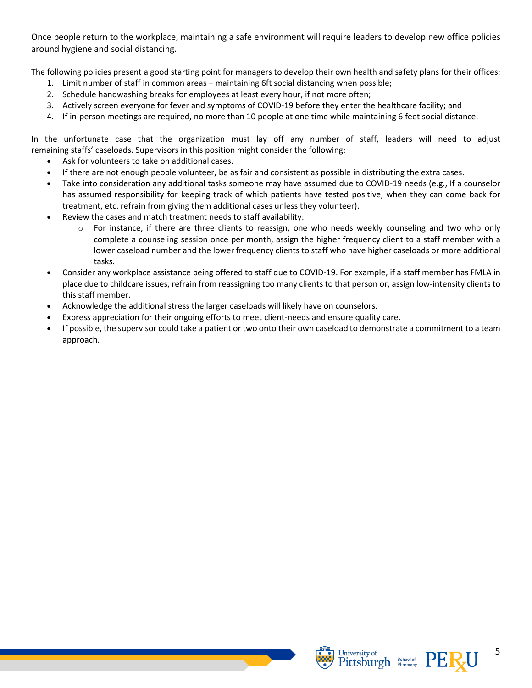Once people return to the workplace, maintaining a safe environment will require leaders to develop new office policies around hygiene and social distancing.

The following policies present a good starting point for managers to develop their own health and safety plans for their offices:

- 1. Limit number of staff in common areas maintaining 6ft social distancing when possible;
- 2. Schedule handwashing breaks for employees at least every hour, if not more often;
- 3. Actively screen everyone for fever and symptoms of COVID-19 before they enter the healthcare facility; and
- 4. If in-person meetings are required, no more than 10 people at one time while maintaining 6 feet social distance.

In the unfortunate case that the organization must lay off any number of staff, leaders will need to adjust remaining staffs' caseloads. Supervisors in this position might consider the following:

- Ask for volunteers to take on additional cases.
- If there are not enough people volunteer, be as fair and consistent as possible in distributing the extra cases.
- Take into consideration any additional tasks someone may have assumed due to COVID-19 needs (e.g., If a counselor has assumed responsibility for keeping track of which patients have tested positive, when they can come back for treatment, etc. refrain from giving them additional cases unless they volunteer).
- Review the cases and match treatment needs to staff availability:
	- $\circ$  For instance, if there are three clients to reassign, one who needs weekly counseling and two who only complete a counseling session once per month, assign the higher frequency client to a staff member with a lower caseload number and the lower frequency clients to staff who have higher caseloads or more additional tasks.
- Consider any workplace assistance being offered to staff due to COVID-19. For example, if a staff member has FMLA in place due to childcare issues, refrain from reassigning too many clients to that person or, assign low-intensity clients to this staff member.
- Acknowledge the additional stress the larger caseloads will likely have on counselors.
- Express appreciation for their ongoing efforts to meet client-needs and ensure quality care.
- If possible, the supervisor could take a patient or two onto their own caseload to demonstrate a commitment to a team approach.



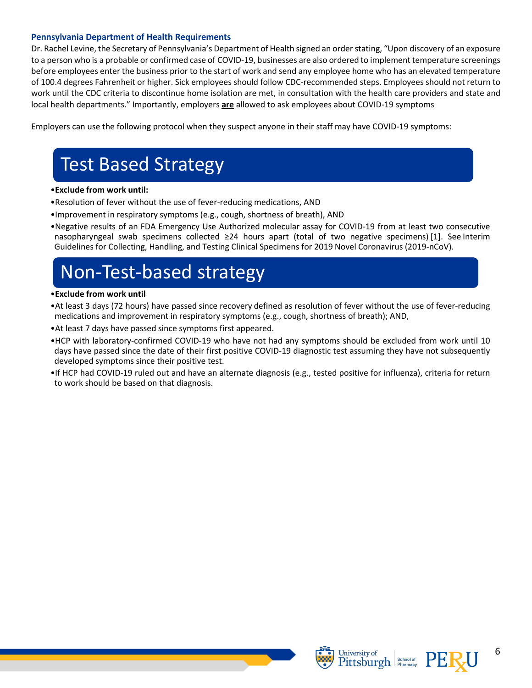#### <span id="page-5-0"></span>**Pennsylvania Department of Health Requirements**

Dr. Rachel Levine, the Secretary of Pennsylvania's Department of Health signed an order stating, "Upon discovery of an exposure to a person who is a probable or confirmed case of COVID-19, businesses are also ordered to implement temperature screenings before employees enter the business prior to the start of work and send any employee home who has an elevated temperature of 100.4 degrees Fahrenheit or higher. Sick employees should follow CDC-recommended steps. Employees should not return to work until the CDC criteria to discontinue home isolation are met, in consultation with the health care providers and state and local health departments." Importantly, employers **are** allowed to ask employees about COVID-19 symptoms

Employers can use the following protocol when they suspect anyone in their staff may have COVID-19 symptoms:

# Test Based Strategy

#### •**Exclude from work until:**

- •Resolution of fever without the use of fever-reducing medications, AND
- •Improvement in respiratory symptoms (e.g., cough, shortness of breath), AND
- •Negative results of an FDA Emergency Use Authorized molecular assay for COVID-19 from at least two consecutive nasopharyngeal swab specimens collected ≥24 hours apart (total of two negative specimens) [1]. See Interim Guidelines for Collecting, Handling, and Testing Clinical Specimens for 2019 Novel Coronavirus (2019-nCoV).

# Non-Test-based strategy

#### •**Exclude from work until**

- •At least 3 days (72 hours) have passed since recovery defined as resolution of fever without the use of fever-reducing medications and improvement in respiratory symptoms (e.g., cough, shortness of breath); AND,
- •At least 7 days have passed since symptoms first appeared.
- •HCP with laboratory-confirmed COVID-19 who have not had any symptoms should be excluded from work until 10 days have passed since the date of their first positive COVID-19 diagnostic test assuming they have not subsequently developed symptoms since their positive test.
- •If HCP had COVID-19 ruled out and have an alternate diagnosis (e.g., tested positive for influenza), criteria for return to work should be based on that diagnosis.



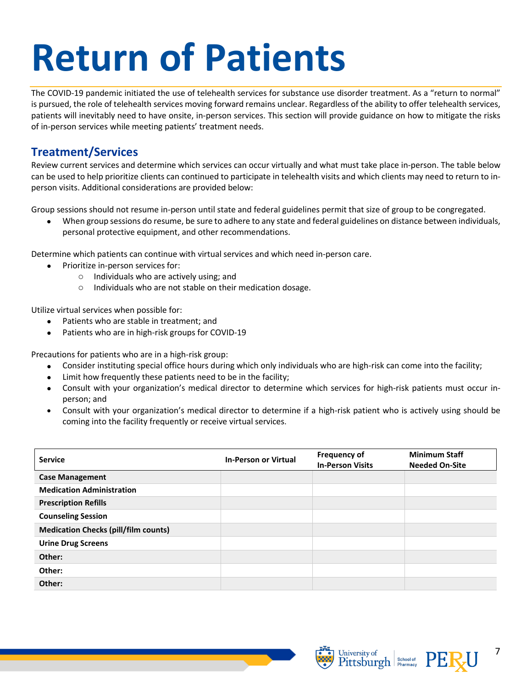# <span id="page-6-0"></span>**Return of Patients**

The COVID-19 pandemic initiated the use of telehealth services for substance use disorder treatment. As a "return to normal" is pursued, the role of telehealth services moving forward remains unclear. Regardless of the ability to offer telehealth services, patients will inevitably need to have onsite, in-person services. This section will provide guidance on how to mitigate the risks of in-person services while meeting patients' treatment needs.

# <span id="page-6-1"></span>**Treatment/Services**

Review current services and determine which services can occur virtually and what must take place in-person. The table below can be used to help prioritize clients can continued to participate in telehealth visits and which clients may need to return to inperson visits. Additional considerations are provided below:

Group sessions should not resume in-person until state and federal guidelines permit that size of group to be congregated.

• When group sessions do resume, be sure to adhere to any state and federal guidelines on distance between individuals, personal protective equipment, and other recommendations.

Determine which patients can continue with virtual services and which need in-person care.

- Prioritize in-person services for:
	- o Individuals who are actively using; and
	- o Individuals who are not stable on their medication dosage.

Utilize virtual services when possible for:

- Patients who are stable in treatment; and
- Patients who are in high-risk groups for COVID-19

Precautions for patients who are in a high-risk group:

- Consider instituting special office hours during which only individuals who are high-risk can come into the facility;
- Limit how frequently these patients need to be in the facility;
- Consult with your organization's medical director to determine which services for high-risk patients must occur inperson; and
- Consult with your organization's medical director to determine if a high-risk patient who is actively using should be coming into the facility frequently or receive virtual services.

| <b>Service</b>                              | <b>In-Person or Virtual</b> | <b>Frequency of</b><br><b>In-Person Visits</b> | <b>Minimum Staff</b><br><b>Needed On-Site</b> |
|---------------------------------------------|-----------------------------|------------------------------------------------|-----------------------------------------------|
| <b>Case Management</b>                      |                             |                                                |                                               |
| <b>Medication Administration</b>            |                             |                                                |                                               |
| <b>Prescription Refills</b>                 |                             |                                                |                                               |
| <b>Counseling Session</b>                   |                             |                                                |                                               |
| <b>Medication Checks (pill/film counts)</b> |                             |                                                |                                               |
| <b>Urine Drug Screens</b>                   |                             |                                                |                                               |
| Other:                                      |                             |                                                |                                               |
| Other:                                      |                             |                                                |                                               |
| Other:                                      |                             |                                                |                                               |



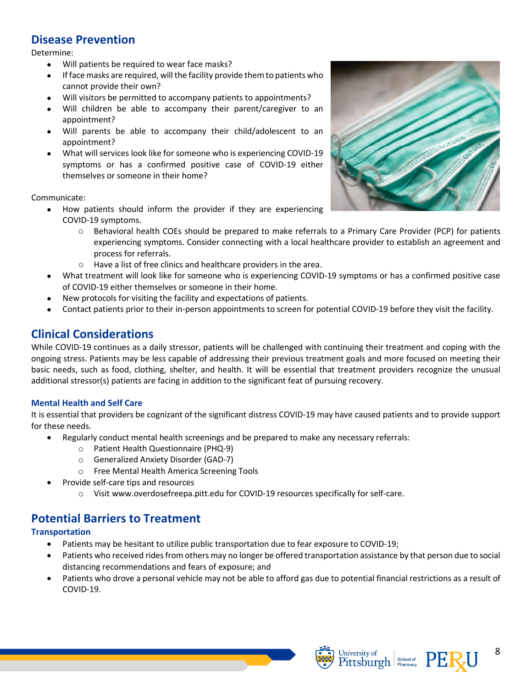# <span id="page-7-0"></span>**Disease Prevention**

Determine:

- Will patients be required to wear face masks?
- If face masks are required, will the facility provide them to patients who cannot provide their own?
- Will visitors be permitted to accompany patients to appointments?
- Will children be able to accompany their parent/caregiver to an appointment?
- Will parents be able to accompany their child/adolescent to an appointment?
- What will services look like for someone who is experiencing COVID-19 symptoms or has a confirmed positive case of COVID-19 either themselves or someone in their home?

Communicate:

- How patients should inform the provider if they are experiencing COVID-19 symptoms.
	- o Behavioral health COEs should be prepared to make referrals to a Primary Care Provider (PCP) for patients experiencing symptoms. Consider connecting with a local healthcare provider to establish an agreement and process for referrals.
	- o Have a list of free clinics and healthcare providers in the area.
- What treatment will look like for someone who is experiencing COVID-19 symptoms or has a confirmed positive case of COVID-19 either themselves or someone in their home.
- New protocols for visiting the facility and expectations of patients.
- Contact patients prior to their in-person appointments to screen for potential COVID-19 before they visit the facility.

# **Clinical Considerations**

While COVID-19 continues as a daily stressor, patients will be challenged with continuing their treatment and coping with the ongoing stress. Patients may be less capable of addressing their previous treatment goals and more focused on meeting their basic needs, such as food, clothing, shelter, and health. It will be essential that treatment providers recognize the unusual additional stressor(s) patients are facing in addition to the significant feat of pursuing recovery.

### <span id="page-7-1"></span>**Mental Health and Self Care**

It is essential that providers be cognizant of the significant distress COVID-19 may have caused patients and to provide support for these needs.

- Regularly conduct mental health screenings and be prepared to make any necessary referrals:
	- o Patient Health Questionnaire (PHQ-9)
	- o Generalized Anxiety Disorder (GAD-7)
	- o Free Mental Health America Screening Tools
	- Provide self-care tips and resources
		- o Visit www.overdosefreepa.pitt.edu for COVID-19 resources specifically for self-care.

# <span id="page-7-2"></span>**Potential Barriers to Treatment**

### **Transportation**

- Patients may be hesitant to utilize public transportation due to fear exposure to COVID-19;
- Patients who received rides from others may no longer be offered transportation assistance by that person due to social distancing recommendations and fears of exposure; and
- Patients who drove a personal vehicle may not be able to afford gas due to potential financial restrictions as a result of COVID-19.





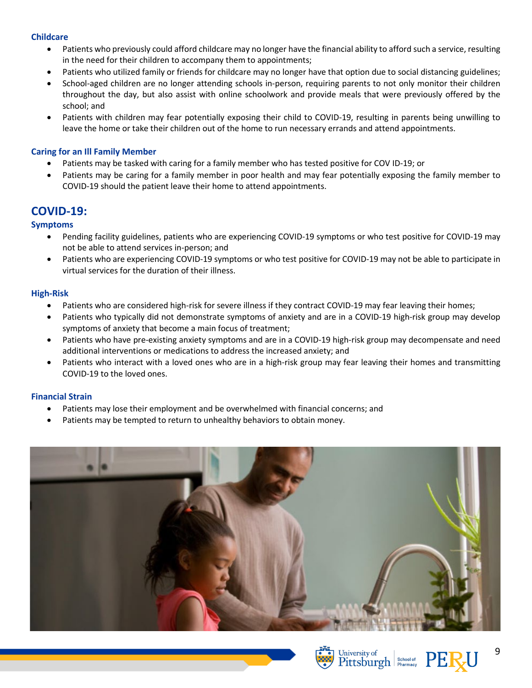#### **Childcare**

- Patients who previously could afford childcare may no longer have the financial ability to afford such a service, resulting in the need for their children to accompany them to appointments;
- Patients who utilized family or friends for childcare may no longer have that option due to social distancing guidelines;
- School-aged children are no longer attending schools in-person, requiring parents to not only monitor their children throughout the day, but also assist with online schoolwork and provide meals that were previously offered by the school; and
- Patients with children may fear potentially exposing their child to COVID-19, resulting in parents being unwilling to leave the home or take their children out of the home to run necessary errands and attend appointments.

### **Caring for an Ill Family Member**

- Patients may be tasked with caring for a family member who has tested positive for COV ID-19; or
- Patients may be caring for a family member in poor health and may fear potentially exposing the family member to COVID-19 should the patient leave their home to attend appointments.

# **COVID-19:**

## **Symptoms**

- Pending facility guidelines, patients who are experiencing COVID-19 symptoms or who test positive for COVID-19 may not be able to attend services in-person; and
- Patients who are experiencing COVID-19 symptoms or who test positive for COVID-19 may not be able to participate in virtual services for the duration of their illness.

### **High-Risk**

- Patients who are considered high-risk for severe illness if they contract COVID-19 may fear leaving their homes;
- Patients who typically did not demonstrate symptoms of anxiety and are in a COVID-19 high-risk group may develop symptoms of anxiety that become a main focus of treatment;
- Patients who have pre-existing anxiety symptoms and are in a COVID-19 high-risk group may decompensate and need additional interventions or medications to address the increased anxiety; and
- Patients who interact with a loved ones who are in a high-risk group may fear leaving their homes and transmitting COVID-19 to the loved ones.

### **Financial Strain**

- Patients may lose their employment and be overwhelmed with financial concerns; and
- Patients may be tempted to return to unhealthy behaviors to obtain money.







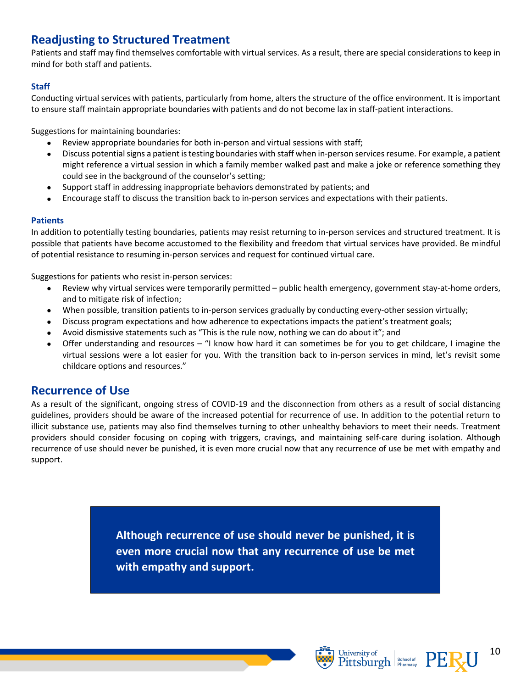# **Readjusting to Structured Treatment**

Patients and staff may find themselves comfortable with virtual services. As a result, there are special considerations to keep in mind for both staff and patients.

# **Staff**

Conducting virtual services with patients, particularly from home, alters the structure of the office environment. It is important to ensure staff maintain appropriate boundaries with patients and do not become lax in staff-patient interactions.

Suggestions for maintaining boundaries:

- Review appropriate boundaries for both in-person and virtual sessions with staff;
- Discuss potential signs a patient is testing boundaries with staff when in-person services resume. For example, a patient might reference a virtual session in which a family member walked past and make a joke or reference something they could see in the background of the counselor's setting;
- Support staff in addressing inappropriate behaviors demonstrated by patients; and
- Encourage staff to discuss the transition back to in-person services and expectations with their patients.

## **Patients**

In addition to potentially testing boundaries, patients may resist returning to in-person services and structured treatment. It is possible that patients have become accustomed to the flexibility and freedom that virtual services have provided. Be mindful of potential resistance to resuming in-person services and request for continued virtual care.

Suggestions for patients who resist in-person services:

- Review why virtual services were temporarily permitted public health emergency, government stay-at-home orders, and to mitigate risk of infection;
- When possible, transition patients to in-person services gradually by conducting every-other session virtually;
- Discuss program expectations and how adherence to expectations impacts the patient's treatment goals;
- Avoid dismissive statements such as "This is the rule now, nothing we can do about it"; and
- Offer understanding and resources "I know how hard it can sometimes be for you to get childcare, I imagine the virtual sessions were a lot easier for you. With the transition back to in-person services in mind, let's revisit some childcare options and resources."

# **Recurrence of Use**

As a result of the significant, ongoing stress of COVID-19 and the disconnection from others as a result of social distancing guidelines, providers should be aware of the increased potential for recurrence of use. In addition to the potential return to illicit substance use, patients may also find themselves turning to other unhealthy behaviors to meet their needs. Treatment providers should consider focusing on coping with triggers, cravings, and maintaining self-care during isolation. Although recurrence of use should never be punished, it is even more crucial now that any recurrence of use be met with empathy and support.

> **Although recurrence of use should never be punished, it is even more crucial now that any recurrence of use be met with empathy and support.**





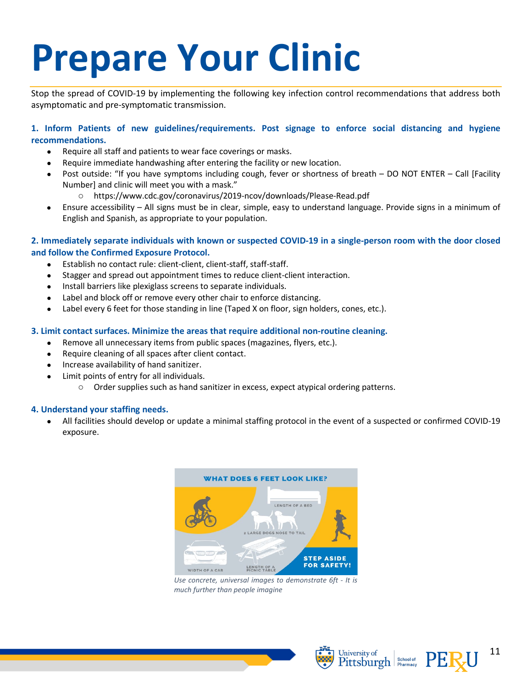# <span id="page-10-0"></span>**Prepare Your Clinic**

Stop the spread of COVID-19 by implementing the following key infection control recommendations that address both asymptomatic and pre-symptomatic transmission.

# **1. Inform Patients of new guidelines/requirements. Post signage to enforce social distancing and hygiene recommendations.**

- Require all staff and patients to wear face coverings or masks.
- Require immediate handwashing after entering the facility or new location.
- Post outside: "If you have symptoms including cough, fever or shortness of breath DO NOT ENTER Call [Facility Number] and clinic will meet you with a mask."
	- o https://www.cdc.gov/coronavirus/2019-ncov/downloads/Please-Read.pdf
- Ensure accessibility All signs must be in clear, simple, easy to understand language. Provide signs in a minimum of English and Spanish, as appropriate to your population.

### **2. Immediately separate individuals with known or suspected COVID-19 in a single-person room with the door closed and follow the Confirmed Exposure Protocol.**

- Establish no contact rule: client-client, client-staff, staff-staff.
- Stagger and spread out appointment times to reduce client-client interaction.
- Install barriers like plexiglass screens to separate individuals.
- Label and block off or remove every other chair to enforce distancing.
- Label every 6 feet for those standing in line (Taped X on floor, sign holders, cones, etc.).

#### **3. Limit contact surfaces. Minimize the areas that require additional non-routine cleaning.**

- Remove all unnecessary items from public spaces (magazines, flyers, etc.).
- Require cleaning of all spaces after client contact.
- Increase availability of hand sanitizer.
- Limit points of entry for all individuals.
	- o Order supplies such as hand sanitizer in excess, expect atypical ordering patterns.

### **4. Understand your staffing needs.**

• All facilities should develop or update a minimal staffing protocol in the event of a suspected or confirmed COVID-19 exposure.



*Use concrete, universal images to demonstrate 6ft - It is much further than people imagine*

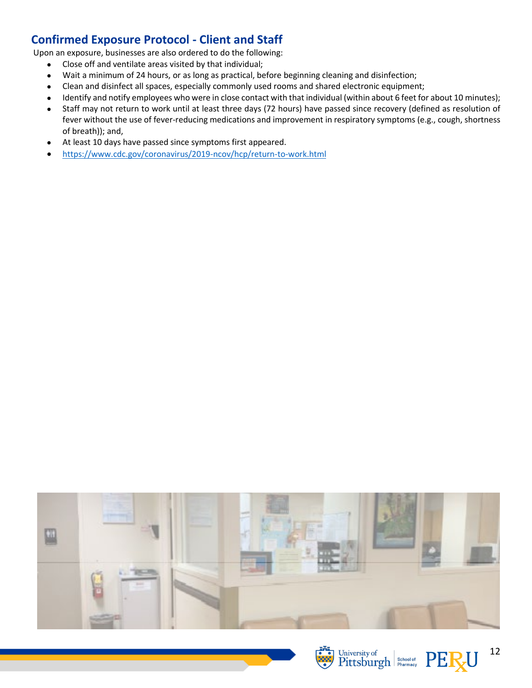# <span id="page-11-0"></span>**Confirmed Exposure Protocol - Client and Staff**

Upon an exposure, businesses are also ordered to do the following:

- Close off and ventilate areas visited by that individual;
- Wait a minimum of 24 hours, or as long as practical, before beginning cleaning and disinfection;
- Clean and disinfect all spaces, especially commonly used rooms and shared electronic equipment;
- Identify and notify employees who were in close contact with that individual (within about 6 feet for about 10 minutes);
- Staff may not return to work until at least three days (72 hours) have passed since recovery (defined as resolution of fever without the use of fever-reducing medications and improvement in respiratory symptoms (e.g., cough, shortness of breath)); and,
- At least 10 days have passed since symptoms first appeared.
- <https://www.cdc.gov/coronavirus/2019-ncov/hcp/return-to-work.html>







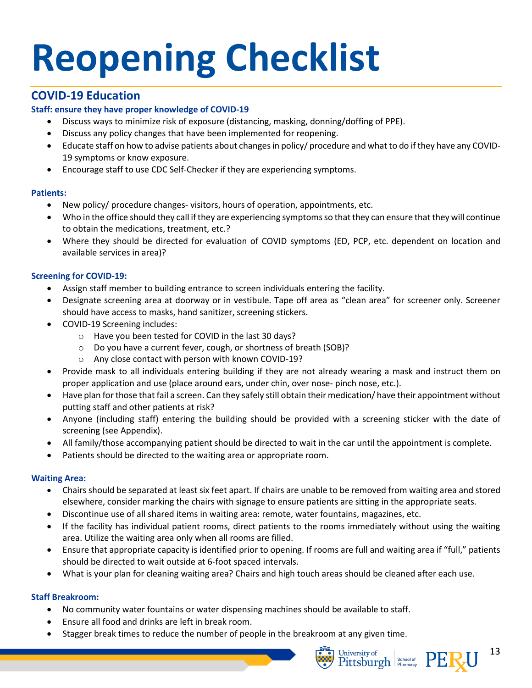# <span id="page-12-0"></span>**Reopening Checklist**

# **COVID-19 Education**

# **Staff: ensure they have proper knowledge of COVID-19**

- Discuss ways to minimize risk of exposure (distancing, masking, donning/doffing of PPE).
- Discuss any policy changes that have been implemented for reopening.
- Educate staff on how to advise patients about changes in policy/ procedure and what to do if they have any COVID-19 symptoms or know exposure.
- Encourage staff to use CDC Self-Checker if they are experiencing symptoms.

# **Patients:**

- New policy/ procedure changes- visitors, hours of operation, appointments, etc.
- Who in the office should they call if they are experiencing symptoms so that they can ensure that they will continue to obtain the medications, treatment, etc.?
- Where they should be directed for evaluation of COVID symptoms (ED, PCP, etc. dependent on location and available services in area)?

# **Screening for COVID-19:**

- Assign staff member to building entrance to screen individuals entering the facility.
- Designate screening area at doorway or in vestibule. Tape off area as "clean area" for screener only. Screener should have access to masks, hand sanitizer, screening stickers.
- COVID-19 Screening includes:
	- o Have you been tested for COVID in the last 30 days?
	- o Do you have a current fever, cough, or shortness of breath (SOB)?
	- o Any close contact with person with known COVID-19?
- Provide mask to all individuals entering building if they are not already wearing a mask and instruct them on proper application and use (place around ears, under chin, over nose- pinch nose, etc.).
- Have plan for those that fail a screen. Can they safely still obtain their medication/ have their appointment without putting staff and other patients at risk?
- Anyone (including staff) entering the building should be provided with a screening sticker with the date of screening (see Appendix).
- All family/those accompanying patient should be directed to wait in the car until the appointment is complete.
- Patients should be directed to the waiting area or appropriate room.

### **Waiting Area:**

- Chairs should be separated at least six feet apart. If chairs are unable to be removed from waiting area and stored elsewhere, consider marking the chairs with signage to ensure patients are sitting in the appropriate seats.
- Discontinue use of all shared items in waiting area: remote, water fountains, magazines, etc.
- If the facility has individual patient rooms, direct patients to the rooms immediately without using the waiting area. Utilize the waiting area only when all rooms are filled.
- Ensure that appropriate capacity is identified prior to opening. If rooms are full and waiting area if "full," patients should be directed to wait outside at 6-foot spaced intervals.
- What is your plan for cleaning waiting area? Chairs and high touch areas should be cleaned after each use.

# **Staff Breakroom:**

- No community water fountains or water dispensing machines should be available to staff.
- Ensure all food and drinks are left in break room.
- Stagger break times to reduce the number of people in the breakroom at any given time.



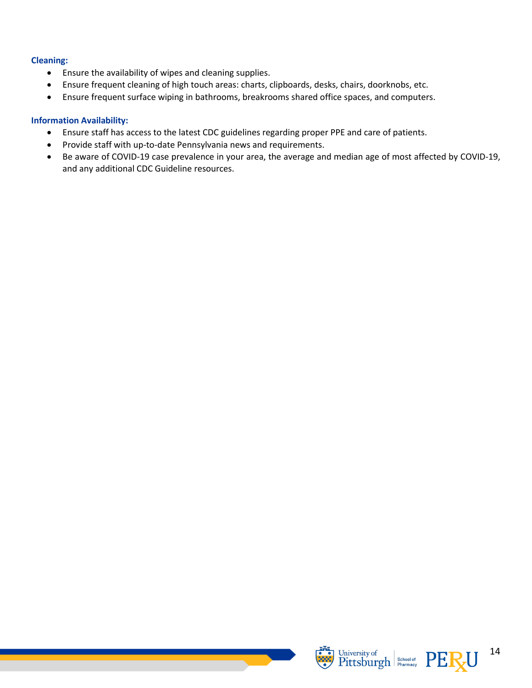### **Cleaning:**

- Ensure the availability of wipes and cleaning supplies.
- Ensure frequent cleaning of high touch areas: charts, clipboards, desks, chairs, doorknobs, etc.
- Ensure frequent surface wiping in bathrooms, breakrooms shared office spaces, and computers.

## **Information Availability:**

- Ensure staff has access to the latest CDC guidelines regarding proper PPE and care of patients.
- Provide staff with up-to-date Pennsylvania news and requirements.
- Be aware of COVID-19 case prevalence in your area, the average and median age of most affected by COVID-19, and any additional CDC Guideline resources.



14

University of School of PERU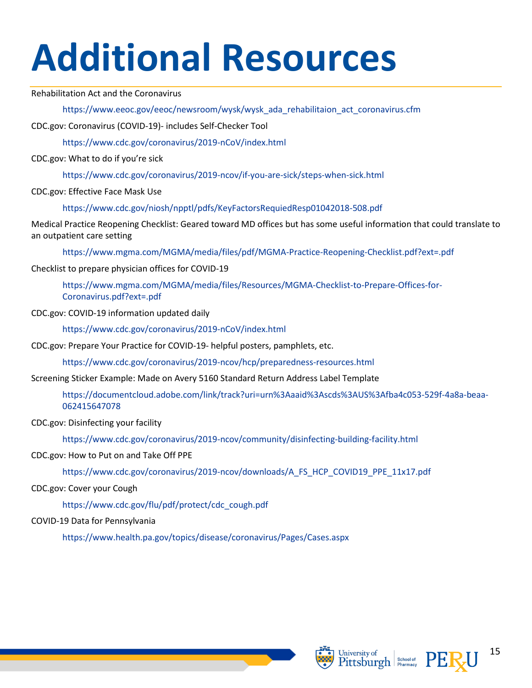# <span id="page-14-0"></span>**Additional Resources**

### Rehabilitation Act and the Coronavirus

https://www.eeoc.gov/eeoc/newsroom/wysk/wysk\_ada\_rehabilitaion\_act\_coronavirus.cfm

CDC.gov: Coronavirus (COVID-19)- includes Self-Checker Tool

https://www.cdc.gov/coronavirus/2019-nCoV/index.html

CDC.gov: What to do if you're sick

https://www.cdc.gov/coronavirus/2019-ncov/if-you-are-sick/steps-when-sick.html

CDC.gov: Effective Face Mask Use

https://www.cdc.gov/niosh/npptl/pdfs/KeyFactorsRequiedResp01042018-508.pdf

Medical Practice Reopening Checklist: Geared toward MD offices but has some useful information that could translate to an outpatient care setting

https://www.mgma.com/MGMA/media/files/pdf/MGMA-Practice-Reopening-Checklist.pdf?ext=.pdf

Checklist to prepare physician offices for COVID-19

https://www.mgma.com/MGMA/media/files/Resources/MGMA-Checklist-to-Prepare-Offices-for-Coronavirus.pdf?ext=.pdf

CDC.gov: COVID-19 information updated daily

https://www.cdc.gov/coronavirus/2019-nCoV/index.html

CDC.gov: Prepare Your Practice for COVID-19- helpful posters, pamphlets, etc.

https://www.cdc.gov/coronavirus/2019-ncov/hcp/preparedness-resources.html

Screening Sticker Example: Made on Avery 5160 Standard Return Address Label Template

https://documentcloud.adobe.com/link/track?uri=urn%3Aaaid%3Ascds%3AUS%3Afba4c053-529f-4a8a-beaa-062415647078

CDC.gov: Disinfecting your facility

https://www.cdc.gov/coronavirus/2019-ncov/community/disinfecting-building-facility.html

### CDC.gov: How to Put on and Take Off PPE

https://www.cdc.gov/coronavirus/2019-ncov/downloads/A\_FS\_HCP\_COVID19\_PPE\_11x17.pdf

# CDC.gov: Cover your Cough

https://www.cdc.gov/flu/pdf/protect/cdc\_cough.pdf

# COVID-19 Data for Pennsylvania

https://www.health.pa.gov/topics/disease/coronavirus/Pages/Cases.aspx